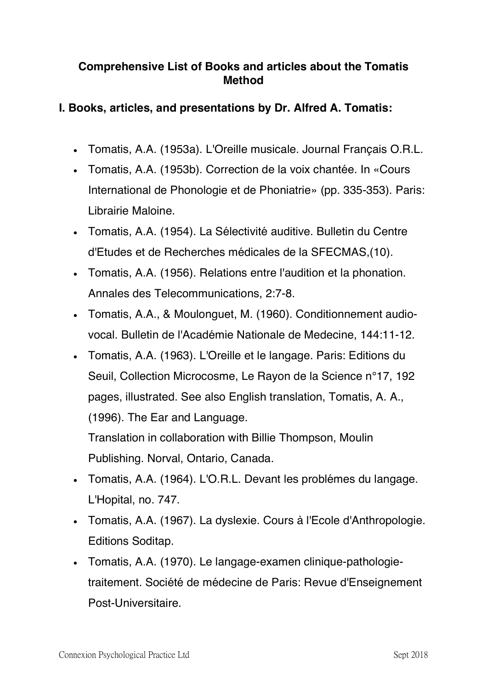## **Comprehensive List of Books and articles about the Tomatis Method**

## **I. Books, articles, and presentations by Dr. Alfred A. Tomatis:**

- Tomatis, A.A. (1953a). L'Oreille musicale. Journal Francais O.R.L.
- Tomatis, A.A. (1953b). Correction de la voix chantée. In «Cours International de Phonologie et de Phoniatrie» (pp. 335-353). Paris: Librairie Maloine.
- Tomatis, A.A. (1954). La Sélectivité auditive. Bulletin du Centre d'Etudes et de Recherches médicales de la SFECMAS,(10).
- Tomatis, A.A. (1956). Relations entre l'audition et la phonation. Annales des Telecommunications, 2:7-8.
- Tomatis, A.A., & Moulonguet, M. (1960). Conditionnement audiovocal. Bulletin de l'Académie Nationale de Medecine, 144:11-12.
- Tomatis, A.A. (1963). L'Oreille et le langage. Paris: Editions du Seuil, Collection Microcosme, Le Rayon de la Science n°17, 192 pages, illustrated. See also English translation, Tomatis, A. A., (1996). The Ear and Language.

Translation in collaboration with Billie Thompson, Moulin Publishing. Norval, Ontario, Canada.

- Tomatis, A.A. (1964). L'O.R.L. Devant les problémes du langage. L'Hopital, no. 747.
- Tomatis, A.A. (1967). La dyslexie. Cours à l'Ecole d'Anthropologie. Editions Soditap.
- Tomatis, A.A. (1970). Le langage-examen clinique-pathologietraitement. Société de médecine de Paris: Revue d'Enseignement Post-Universitaire.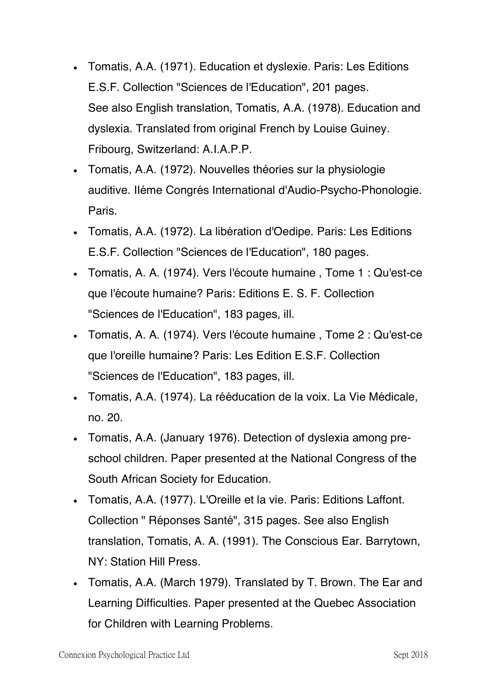- Tomatis, A.A. (1971). Education et dyslexie. Paris: Les Editions E.S.F. Collection "Sciences de l'Education", 201 pages. See also English translation, Tomatis, A.A. (1978). Education and dyslexia. Translated from original French by Louise Guiney. Fribourg, Switzerland: A.I.A.P.P.
- Tomatis, A.A. (1972). Nouvelles théories sur la physiologie auditive. Iléme Congrés International d'Audio-Psycho-Phonologie. Paris.
- Tomatis, A.A. (1972). La libération d'Oedipe. Paris: Les Editions E.S.F. Collection "Sciences de l'Education", 180 pages.
- Tomatis, A. A. (1974). Vers l'écoute humaine, Tome 1 : Qu'est-ce que l'écoute humaine? Paris: Editions E. S. F. Collection "Sciences de l'Education", 183 pages, ill.
- Tomatis, A. A. (1974). Vers l'écoute humaine, Tome 2 : Qu'est-ce que l'oreille humaine? Paris: Les Edition E.S.F. Collection "Sciences de l'Education", 183 pages, ill.
- Tomatis, A.A. (1974). La rééducation de la voix. La Vie Médicale, no. 20.
- Tomatis, A.A. (January 1976). Detection of dyslexia among preschool children. Paper presented at the National Congress of the South African Society for Education.
- Tomatis, A.A. (1977). L'Oreille et la vie. Paris: Editions Laffont. Collection " Réponses Santé", 315 pages. See also English translation, Tomatis, A. A. (1991). The Conscious Ear. Barrytown, NY: Station Hill Press.
- Tomatis, A.A. (March 1979). Translated by T. Brown. The Ear and Learning Difficulties. Paper presented at the Quebec Association for Children with Learning Problems.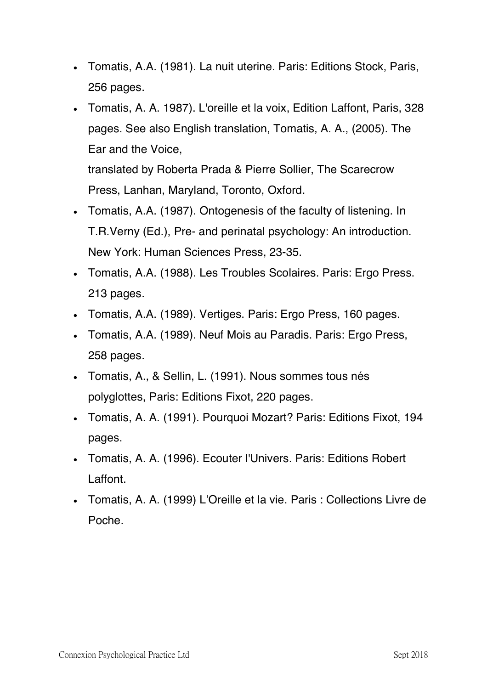- Tomatis, A.A. (1981). La nuit uterine. Paris: Editions Stock, Paris, 256 pages.
- Tomatis, A. A. 1987). L'oreille et la voix, Edition Laffont, Paris, 328 pages. See also English translation, Tomatis, A. A., (2005). The Ear and the Voice,

translated by Roberta Prada & Pierre Sollier, The Scarecrow Press, Lanhan, Maryland, Toronto, Oxford.

- Tomatis, A.A. (1987). Ontogenesis of the faculty of listening. In T.R.Verny (Ed.), Pre- and perinatal psychology: An introduction. New York: Human Sciences Press, 23-35.
- Tomatis, A.A. (1988). Les Troubles Scolaires. Paris: Ergo Press. 213 pages.
- Tomatis, A.A. (1989). Vertiges. Paris: Ergo Press, 160 pages.
- Tomatis, A.A. (1989). Neuf Mois au Paradis. Paris: Ergo Press, 258 pages.
- Tomatis, A., & Sellin, L. (1991). Nous sommes tous nés polyglottes, Paris: Editions Fixot, 220 pages.
- Tomatis, A. A. (1991). Pourquoi Mozart? Paris: Editions Fixot, 194 pages.
- Tomatis, A. A. (1996). Ecouter l'Univers. Paris: Editions Robert Laffont.
- Tomatis, A. A. (1999) L'Oreille et la vie. Paris : Collections Livre de Poche.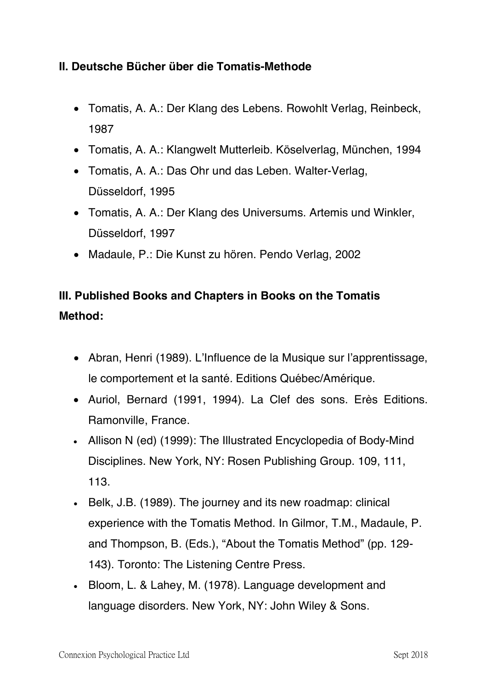## **II. Deutsche Bücher über die Tomatis-Methode**

- Tomatis, A. A.: Der Klang des Lebens. Rowohlt Verlag, Reinbeck, 1987
- Tomatis, A. A.: Klangwelt Mutterleib. Köselverlag, München, 1994
- Tomatis, A. A.: Das Ohr und das Leben. Walter-Verlag, Düsseldorf, 1995
- Tomatis, A. A.: Der Klang des Universums. Artemis und Winkler, Düsseldorf, 1997
- Madaule, P.: Die Kunst zu hören. Pendo Verlag, 2002

## **III. Published Books and Chapters in Books on the Tomatis Method:**

- Abran, Henri (1989). L'Influence de la Musique sur l'apprentissage, le comportement et la santé. Editions Québec/Amérique.
- Auriol, Bernard (1991, 1994). La Clef des sons. Erès Editions. Ramonville, France.
- Allison N (ed) (1999): The Illustrated Encyclopedia of Body-Mind Disciplines. New York, NY: Rosen Publishing Group. 109, 111, 113.
- Belk, J.B. (1989). The journey and its new roadmap: clinical experience with the Tomatis Method. In Gilmor, T.M., Madaule, P. and Thompson, B. (Eds.), "About the Tomatis Method" (pp. 129- 143). Toronto: The Listening Centre Press.
- Bloom, L. & Lahey, M. (1978). Language development and language disorders. New York, NY: John Wiley & Sons.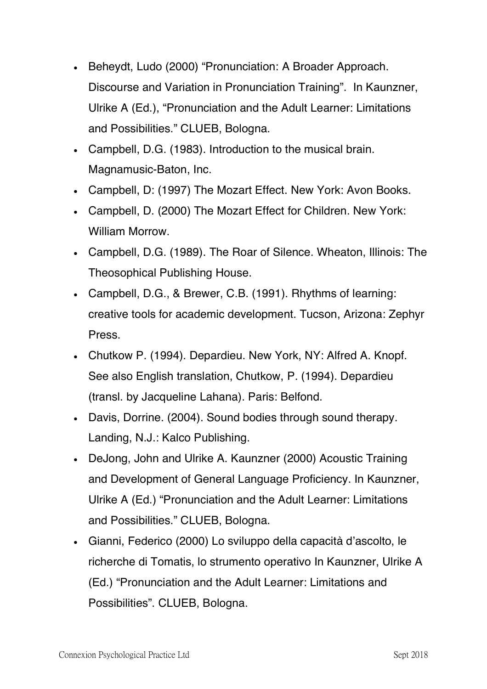- Beheydt, Ludo (2000) "Pronunciation: A Broader Approach. Discourse and Variation in Pronunciation Training". In Kaunzner, Ulrike A (Ed.), "Pronunciation and the Adult Learner: Limitations and Possibilities." CLUEB, Bologna.
- Campbell, D.G. (1983). Introduction to the musical brain. Magnamusic-Baton, Inc.
- Campbell, D: (1997) The Mozart Effect. New York: Avon Books.
- Campbell, D. (2000) The Mozart Effect for Children. New York: William Morrow.
- Campbell, D.G. (1989). The Roar of Silence. Wheaton, Illinois: The Theosophical Publishing House.
- Campbell, D.G., & Brewer, C.B. (1991). Rhythms of learning: creative tools for academic development. Tucson, Arizona: Zephyr Press.
- Chutkow P. (1994). Depardieu. New York, NY: Alfred A. Knopf. See also English translation, Chutkow, P. (1994). Depardieu (transl. by Jacqueline Lahana). Paris: Belfond.
- Davis, Dorrine. (2004). Sound bodies through sound therapy. Landing, N.J.: Kalco Publishing.
- DeJong, John and Ulrike A. Kaunzner (2000) Acoustic Training and Development of General Language Proficiency. In Kaunzner, Ulrike A (Ed.) "Pronunciation and the Adult Learner: Limitations and Possibilities." CLUEB, Bologna.
- Gianni, Federico (2000) Lo sviluppo della capacità d'ascolto, le richerche di Tomatis, lo strumento operativo In Kaunzner, Ulrike A (Ed.) "Pronunciation and the Adult Learner: Limitations and Possibilities". CLUEB, Bologna.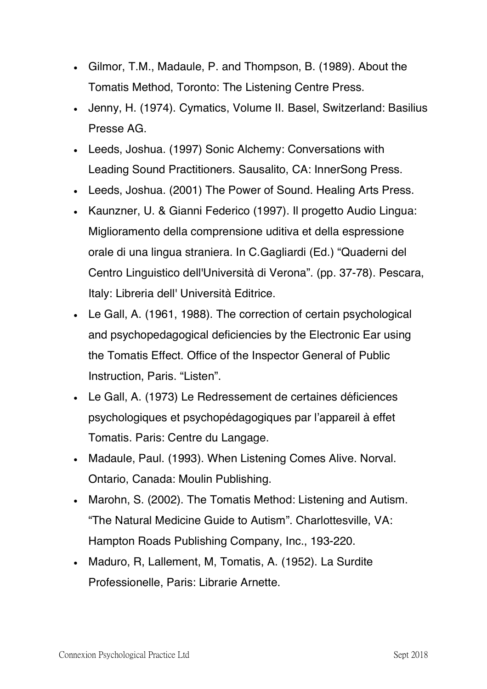- Gilmor, T.M., Madaule, P. and Thompson, B. (1989). About the Tomatis Method, Toronto: The Listening Centre Press.
- Jenny, H. (1974). Cymatics, Volume II. Basel, Switzerland: Basilius Presse AG.
- Leeds, Joshua. (1997) Sonic Alchemy: Conversations with Leading Sound Practitioners. Sausalito, CA: InnerSong Press.
- Leeds, Joshua. (2001) The Power of Sound. Healing Arts Press.
- Kaunzner, U. & Gianni Federico (1997). Il progetto Audio Lingua: Miglioramento della comprensione uditiva et della espressione orale di una lingua straniera. In C.Gagliardi (Ed.) "Quaderni del Centro Linguistico dell'Universitàdi Verona". (pp. 37-78). Pescara, Italy: Libreria dell' Università Editrice.
- Le Gall, A. (1961, 1988). The correction of certain psychological and psychopedagogical deficiencies by the Electronic Ear using the Tomatis Effect. Office of the Inspector General of Public Instruction, Paris. "Listen".
- Le Gall, A. (1973) Le Redressement de certaines déficiences psychologiques et psychopédagogiques par l'appareil àeffet Tomatis. Paris: Centre du Langage.
- Madaule, Paul. (1993). When Listening Comes Alive. Norval. Ontario, Canada: Moulin Publishing.
- Marohn, S. (2002). The Tomatis Method: Listening and Autism. "The Natural Medicine Guide to Autism". Charlottesville, VA: Hampton Roads Publishing Company, Inc., 193-220.
- Maduro, R, Lallement, M, Tomatis, A. (1952). La Surdite Professionelle, Paris: Librarie Arnette.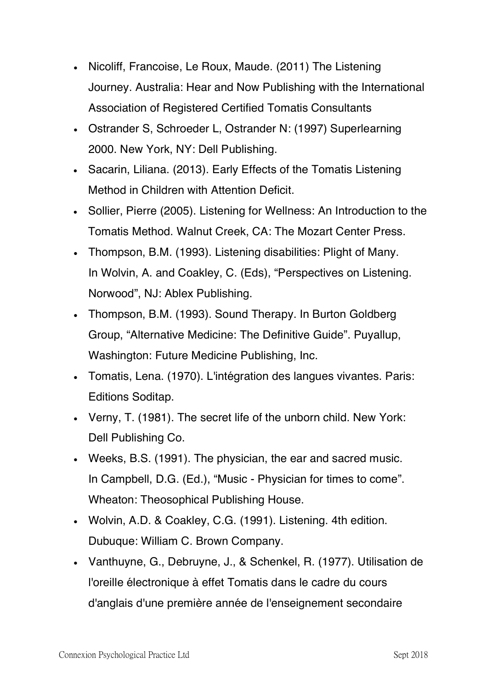- Nicoliff, Francoise, Le Roux, Maude. (2011) The Listening Journey. Australia: Hear and Now Publishing with the International Association of Registered Certified Tomatis Consultants
- Ostrander S, Schroeder L, Ostrander N: (1997) Superlearning 2000. New York, NY: Dell Publishing.
- Sacarin, Liliana. (2013). Early Effects of the Tomatis Listening Method in Children with Attention Deficit.
- Sollier, Pierre (2005). Listening for Wellness: An Introduction to the Tomatis Method. Walnut Creek, CA: The Mozart Center Press.
- Thompson, B.M. (1993). Listening disabilities: Plight of Many. In Wolvin, A. and Coakley, C. (Eds), "Perspectives on Listening. Norwood", NJ: Ablex Publishing.
- Thompson, B.M. (1993). Sound Therapy. In Burton Goldberg Group, "Alternative Medicine: The Definitive Guide". Puyallup, Washington: Future Medicine Publishing, Inc.
- Tomatis, Lena. (1970). L'intégration des langues vivantes. Paris: Editions Soditap.
- Verny, T. (1981). The secret life of the unborn child. New York: Dell Publishing Co.
- Weeks, B.S. (1991). The physician, the ear and sacred music. In Campbell, D.G. (Ed.), "Music - Physician for times to come". Wheaton: Theosophical Publishing House.
- Wolvin, A.D. & Coakley, C.G. (1991). Listening. 4th edition. Dubuque: William C. Brown Company.
- Vanthuyne, G., Debruyne, J., & Schenkel, R. (1977). Utilisation de l'oreille électronique à effet Tomatis dans le cadre du cours d'anglais d'une première année de l'enseignement secondaire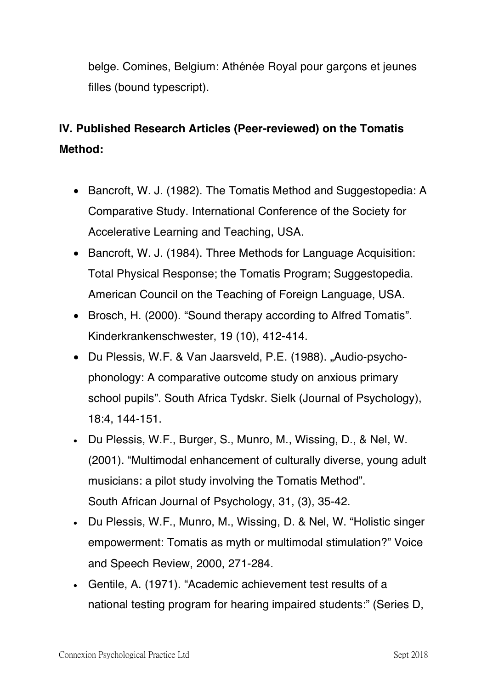belge. Comines, Belgium: Athénée Royal pour garcons et jeunes filles (bound typescript).

# **IV. Published Research Articles (Peer-reviewed) on the Tomatis Method:**

- Bancroft, W. J. (1982). The Tomatis Method and Suggestopedia: A Comparative Study. International Conference of the Society for Accelerative Learning and Teaching, USA.
- Bancroft, W. J. (1984). Three Methods for Language Acquisition: Total Physical Response; the Tomatis Program; Suggestopedia. American Council on the Teaching of Foreign Language, USA.
- Brosch, H. (2000). "Sound therapy according to Alfred Tomatis". Kinderkrankenschwester, 19 (10), 412-414.
- Du Plessis, W.F. & Van Jaarsveld, P.E. (1988). "Audio-psychophonology: A comparative outcome study on anxious primary school pupils". South Africa Tydskr. Sielk (Journal of Psychology), 18:4, 144-151.
- Du Plessis, W.F., Burger, S., Munro, M., Wissing, D., & Nel, W. (2001). "Multimodal enhancement of culturally diverse, young adult musicians: a pilot study involving the Tomatis Method". South African Journal of Psychology, 31, (3), 35-42.
- Du Plessis, W.F., Munro, M., Wissing, D. & Nel, W. "Holistic singer empowerment: Tomatis as myth or multimodal stimulation?" Voice and Speech Review, 2000, 271-284.
- Gentile, A. (1971). "Academic achievement test results of a national testing program for hearing impaired students:" (Series D,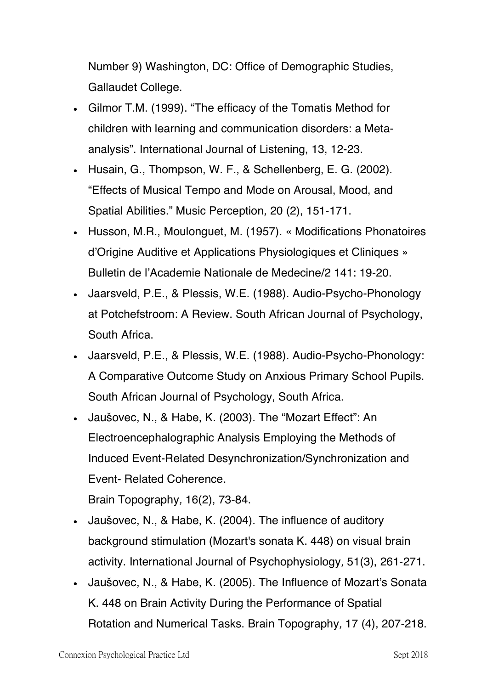Number 9) Washington, DC: Office of Demographic Studies, Gallaudet College.

- Gilmor T.M. (1999). "The efficacy of the Tomatis Method for children with learning and communication disorders: a Metaanalysis". International Journal of Listening, 13, 12-23.
- Husain, G., Thompson, W. F., & Schellenberg, E. G. (2002). "Effects of Musical Tempo and Mode on Arousal, Mood, and Spatial Abilities." Music Perception*,* 20 (2), 151-171.
- Husson, M.R., Moulonguet, M. (1957). « Modifications Phonatoires d'Origine Auditive et Applications Physiologiques et Cliniques » Bulletin de l'Academie Nationale de Medecine/2 141: 19-20.
- Jaarsveld, P.E., & Plessis, W.E. (1988). Audio-Psycho-Phonology at Potchefstroom: A Review. South African Journal of Psychology, South Africa.
- Jaarsveld, P.E., & Plessis, W.E. (1988). Audio-Psycho-Phonology: A Comparative Outcome Study on Anxious Primary School Pupils. South African Journal of Psychology, South Africa.
- Jaušovec, N., & Habe, K. (2003). The "Mozart Effect": An Electroencephalographic Analysis Employing the Methods of Induced Event-Related Desynchronization/Synchronization and Event- Related Coherence.

Brain Topography*,* 16(2), 73-84.

- Jaušovec, N., & Habe, K. (2004). The influence of auditory background stimulation (Mozart's sonata K. 448) on visual brain activity. International Journal of Psychophysiology*,* 51(3), 261-271.
- Jaušovec, N., & Habe, K. (2005). The Influence of Mozart's Sonata K. 448 on Brain Activity During the Performance of Spatial Rotation and Numerical Tasks. Brain Topography*,* 17 (4), 207-218.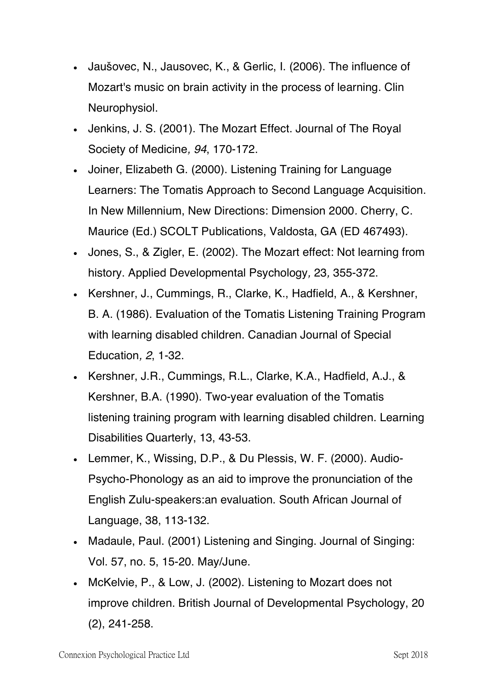- Jaušovec, N., Jausovec, K., & Gerlic, I. (2006). The influence of Mozart's music on brain activity in the process of learning. Clin Neurophysiol.
- Jenkins, J. S. (2001). The Mozart Effect. Journal of The Royal Society of Medicine*, 94*, 170-172.
- Joiner, Elizabeth G. (2000). Listening Training for Language Learners: The Tomatis Approach to Second Language Acquisition. In New Millennium, New Directions: Dimension 2000*.* Cherry, C. Maurice (Ed.) SCOLT Publications, Valdosta, GA (ED 467493).
- Jones, S., & Zigler, E. (2002). The Mozart effect: Not learning from history. Applied Developmental Psychology*,* 23*,* 355-372.
- Kershner, J., Cummings, R., Clarke, K., Hadfield, A., & Kershner, B. A. (1986). Evaluation of the Tomatis Listening Training Program with learning disabled children. Canadian Journal of Special Education*, 2*, 1-32.
- Kershner, J.R., Cummings, R.L., Clarke, K.A., Hadfield, A.J., & Kershner, B.A. (1990). Two-year evaluation of the Tomatis listening training program with learning disabled children. Learning Disabilities Quarterly, 13, 43-53.
- Lemmer, K., Wissing, D.P., & Du Plessis, W. F. (2000). Audio-Psycho-Phonology as an aid to improve the pronunciation of the English Zulu-speakers:an evaluation. South African Journal of Language, 38, 113-132.
- Madaule, Paul. (2001) Listening and Singing. Journal of Singing: Vol. 57, no. 5, 15-20. May/June.
- McKelvie, P., & Low, J. (2002). Listening to Mozart does not improve children. British Journal of Developmental Psychology, 20 (2), 241-258.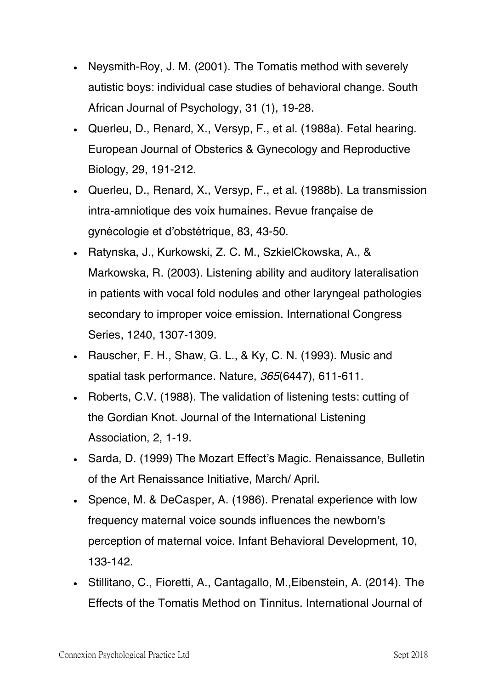- Neysmith-Roy, J. M. (2001). The Tomatis method with severely autistic boys: individual case studies of behavioral change. South African Journal of Psychology, 31 (1), 19-28.
- Querleu, D., Renard, X., Versyp, F., et al. (1988a). Fetal hearing. European Journal of Obsterics & Gynecology and Reproductive Biology, 29, 191-212.
- Querleu, D., Renard, X., Versyp, F., et al. (1988b). La transmission intra-amniotique des voix humaines. Revue francaise de gynécologie et d'obstétrique, 83, 43-50.
- Ratynska, J., Kurkowski, Z. C. M., SzkielCkowska, A., & Markowska, R. (2003). Listening ability and auditory lateralisation in patients with vocal fold nodules and other laryngeal pathologies secondary to improper voice emission. International Congress Series, 1240, 1307-1309.
- Rauscher, F. H., Shaw, G. L., & Ky, C. N. (1993). Music and spatial task performance. Nature*, 365*(6447), 611-611.
- Roberts, C.V. (1988). The validation of listening tests: cutting of the Gordian Knot. Journal of the International Listening Association, 2, 1-19.
- Sarda, D. (1999) The Mozart Effect's Magic. Renaissance, Bulletin of the Art Renaissance Initiative, March/ April.
- Spence, M. & DeCasper, A. (1986). Prenatal experience with low frequency maternal voice sounds influences the newborn's perception of maternal voice. Infant Behavioral Development, 10, 133-142.
- Stillitano, C., Fioretti, A., Cantagallo, M.,Eibenstein, A. (2014). The Effects of the Tomatis Method on Tinnitus. International Journal of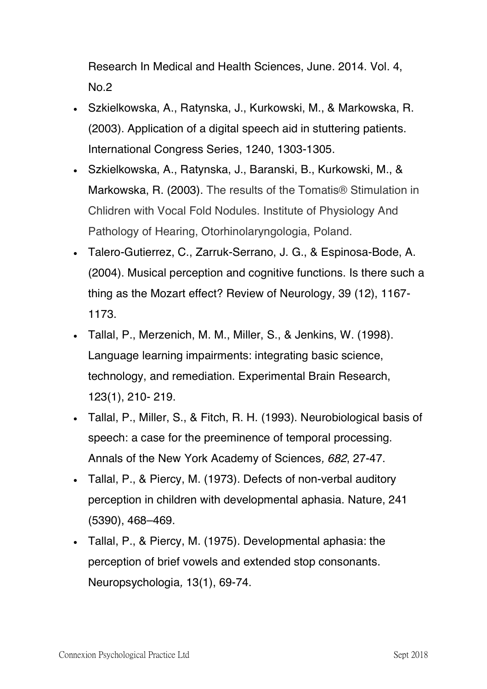Research In Medical and Health Sciences, June. 2014. Vol. 4, No.2

- Szkielkowska, A., Ratynska, J., Kurkowski, M., & Markowska, R. (2003). Application of a digital speech aid in stuttering patients. International Congress Series, 1240, 1303-1305.
- Szkielkowska, A., Ratynska, J., Baranski, B., Kurkowski, M., & Markowska, R. (2003). The results of the Tomatis® Stimulation in Chlidren with Vocal Fold Nodules. Institute of Physiology And Pathology of Hearing, Otorhinolaryngologia, Poland.
- Talero-Gutierrez, C., Zarruk-Serrano, J. G., & Espinosa-Bode, A. (2004). Musical perception and cognitive functions. Is there such a thing as the Mozart effect? Review of Neurology*,* 39 (12), 1167- 1173.
- Tallal, P., Merzenich, M. M., Miller, S., & Jenkins, W. (1998). Language learning impairments: integrating basic science, technology, and remediation. Experimental Brain Research, 123(1), 210- 219.
- Tallal, P., Miller, S., & Fitch, R. H. (1993). Neurobiological basis of speech: a case for the preeminence of temporal processing. Annals of the New York Academy of Sciences*, 682*, 27-47.
- Tallal, P., & Piercy, M. (1973). Defects of non-verbal auditory perception in children with developmental aphasia. Nature, 241 (5390), 468–469.
- Tallal, P., & Piercy, M. (1975). Developmental aphasia: the perception of brief vowels and extended stop consonants. Neuropsychologia*,* 13(1), 69-74.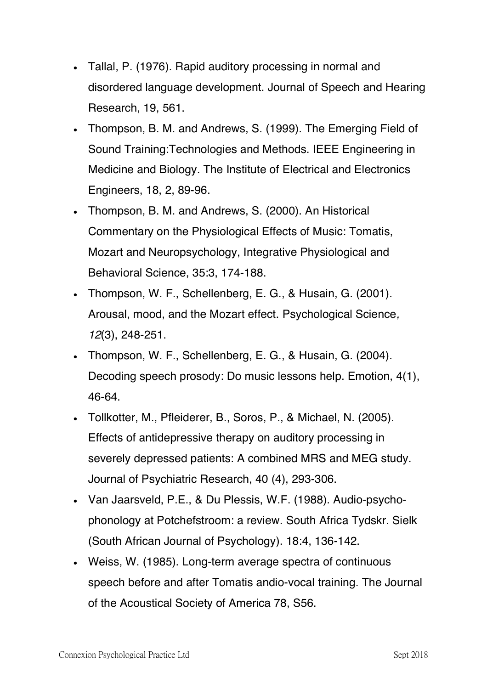- Tallal, P. (1976). Rapid auditory processing in normal and disordered language development. Journal of Speech and Hearing Research, 19, 561.
- Thompson, B. M. and Andrews, S. (1999). The Emerging Field of Sound Training:Technologies and Methods. IEEE Engineering in Medicine and Biology. The Institute of Electrical and Electronics Engineers, 18, 2, 89-96.
- Thompson, B. M. and Andrews, S. (2000). An Historical Commentary on the Physiological Effects of Music: Tomatis, Mozart and Neuropsychology, Integrative Physiological and Behavioral Science, 35:3, 174-188.
- Thompson, W. F., Schellenberg, E. G., & Husain, G. (2001). Arousal, mood, and the Mozart effect. Psychological Science*, 12*(3), 248-251.
- Thompson, W. F., Schellenberg, E. G., & Husain, G. (2004). Decoding speech prosody: Do music lessons help. Emotion, 4(1), 46-64.
- Tollkotter, M., Pfleiderer, B., Soros, P., & Michael, N. (2005). Effects of antidepressive therapy on auditory processing in severely depressed patients: A combined MRS and MEG study. Journal of Psychiatric Research, 40 (4), 293-306.
- Van Jaarsveld, P.E., & Du Plessis, W.F. (1988). Audio-psychophonology at Potchefstroom: a review. South Africa Tydskr. Sielk (South African Journal of Psychology). 18:4, 136-142.
- Weiss, W. (1985). Long-term average spectra of continuous speech before and after Tomatis andio‐vocal training. The Journal of the Acoustical Society of America 78, S56.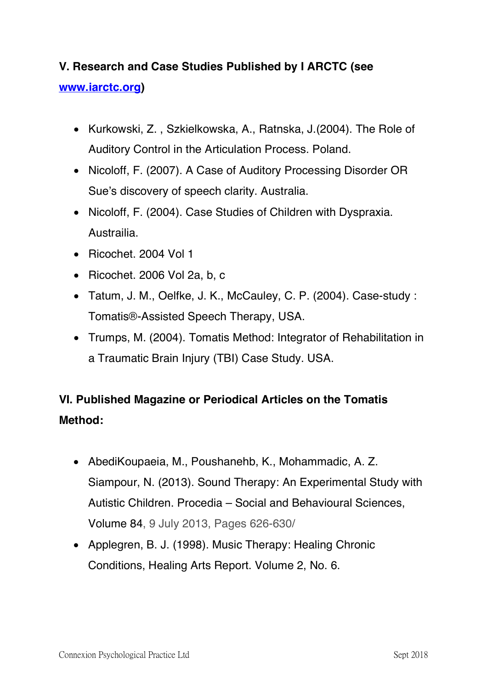## **V. Research and Case Studies Published by I ARCTC (see**

#### **www.iarctc.org)**

- Kurkowski, Z. , Szkielkowska, A., Ratnska, J.(2004). The Role of Auditory Control in the Articulation Process. Poland.
- Nicoloff, F. (2007). A Case of Auditory Processing Disorder OR Sue's discovery of speech clarity. Australia.
- Nicoloff, F. (2004). Case Studies of Children with Dyspraxia. Austrailia.
- Ricochet. 2004 Vol 1
- Ricochet. 2006 Vol 2a, b, c
- Tatum, J. M., Oelfke, J. K., McCauley, C. P. (2004). Case-study : Tomatis®-Assisted Speech Therapy, USA.
- Trumps, M. (2004). Tomatis Method: Integrator of Rehabilitation in a Traumatic Brain Injury (TBI) Case Study. USA.

# **VI. Published Magazine or Periodical Articles on the Tomatis Method:**

- AbediKoupaeia, M., Poushanehb, K., Mohammadic, A. Z. Siampour, N. (2013). Sound Therapy: An Experimental Study with Autistic Children. Procedia – Social and Behavioural Sciences, Volume 84, 9 July 2013, Pages 626-630/
- Applegren, B. J. (1998). Music Therapy: Healing Chronic Conditions, Healing Arts Report. Volume 2, No. 6.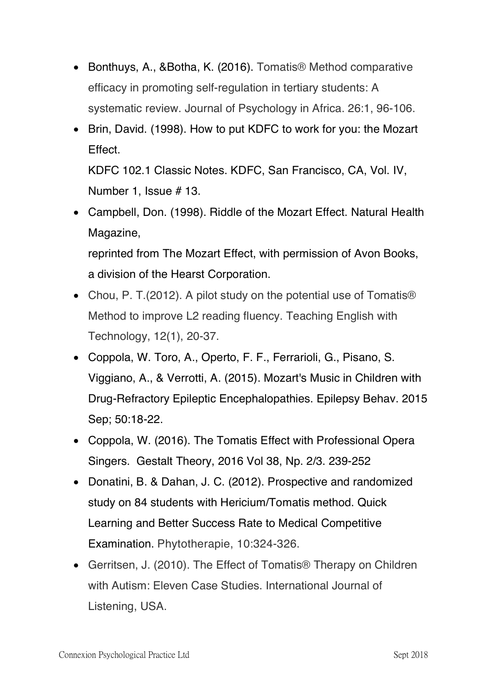- Bonthuys, A., &Botha, K. (2016). Tomatis® Method comparative efficacy in promoting self-regulation in tertiary students: A systematic review. Journal of Psychology in Africa. 26:1, 96-106.
- Brin, David. (1998). How to put KDFC to work for you: the Mozart Effect.

KDFC 102.1 Classic Notes. KDFC, San Francisco, CA, Vol. IV, Number 1, Issue # 13.

• Campbell, Don. (1998). Riddle of the Mozart Effect. Natural Health Magazine,

reprinted from The Mozart Effect, with permission of Avon Books, a division of the Hearst Corporation.

- Chou, P. T. (2012). A pilot study on the potential use of Tomatis<sup>®</sup> Method to improve L2 reading fluency. Teaching English with Technology, 12(1), 20-37.
- Coppola, W. Toro, A., Operto, F. F., Ferrarioli, G., Pisano, S. Viggiano, A., & Verrotti, A. (2015). Mozart's Music in Children with Drug-Refractory Epileptic Encephalopathies. Epilepsy Behav. 2015 Sep; 50:18-22.
- Coppola, W. (2016). The Tomatis Effect with Professional Opera Singers. Gestalt Theory, 2016 Vol 38, Np. 2/3. 239-252
- Donatini, B. & Dahan, J. C. (2012). Prospective and randomized study on 84 students with Hericium/Tomatis method. Quick Learning and Better Success Rate to Medical Competitive Examination. Phytotherapie, 10:324-326.
- Gerritsen, J. (2010). The Effect of Tomatis<sup>®</sup> Therapy on Children with Autism: Eleven Case Studies. International Journal of Listening, USA.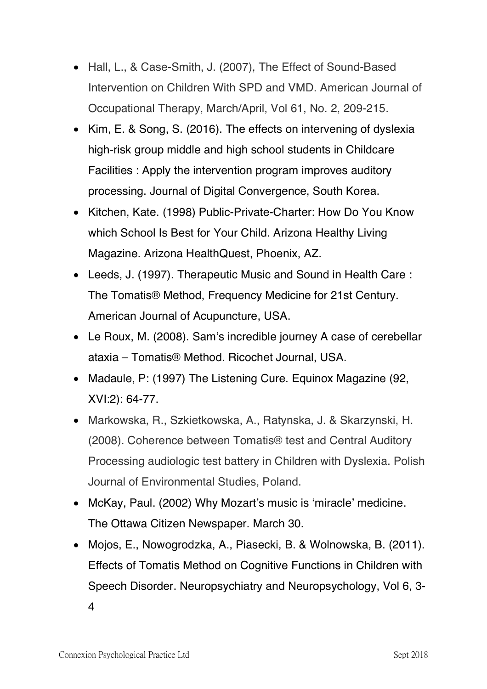- Hall, L., & Case-Smith, J. (2007), The Effect of Sound-Based Intervention on Children With SPD and VMD. American Journal of Occupational Therapy, March/April, Vol 61, No. 2, 209-215.
- Kim, E. & Song, S. (2016). The effects on intervening of dyslexia high-risk group middle and high school students in Childcare Facilities : Apply the intervention program improves auditory processing. Journal of Digital Convergence, South Korea.
- Kitchen, Kate. (1998) Public-Private-Charter: How Do You Know which School Is Best for Your Child. Arizona Healthy Living Magazine. Arizona HealthQuest, Phoenix, AZ.
- Leeds, J. (1997). Therapeutic Music and Sound in Health Care : The Tomatis® Method, Frequency Medicine for 21st Century. American Journal of Acupuncture, USA.
- Le Roux, M. (2008). Sam's incredible journey A case of cerebellar ataxia – Tomatis® Method. Ricochet Journal, USA.
- Madaule, P: (1997) The Listening Cure. Equinox Magazine (92, XVI:2): 64-77.
- Markowska, R., Szkietkowska, A., Ratynska, J. & Skarzynski, H. (2008). Coherence between Tomatis® test and Central Auditory Processing audiologic test battery in Children with Dyslexia. Polish Journal of Environmental Studies, Poland.
- McKay, Paul. (2002) Why Mozart's music is 'miracle' medicine. The Ottawa Citizen Newspaper. March 30.
- Mojos, E., Nowogrodzka, A., Piasecki, B. & Wolnowska, B. (2011). Effects of Tomatis Method on Cognitive Functions in Children with Speech Disorder. Neuropsychiatry and Neuropsychology, Vol 6, 3- 4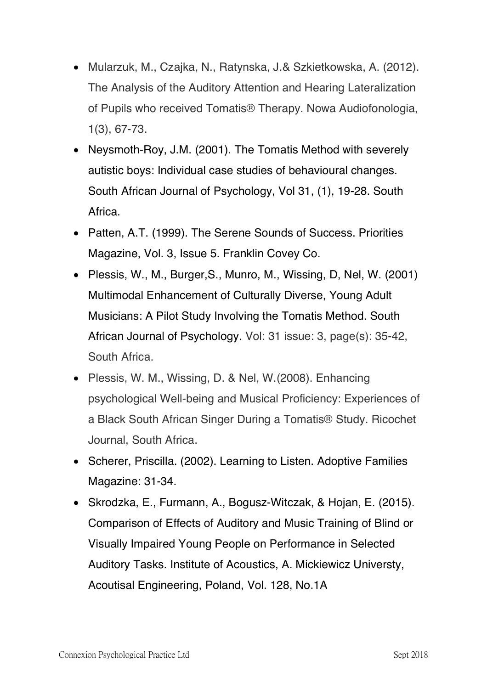- Mularzuk, M., Czajka, N., Ratynska, J.& Szkietkowska, A. (2012). The Analysis of the Auditory Attention and Hearing Lateralization of Pupils who received Tomatis® Therapy. Nowa Audiofonologia, 1(3), 67-73.
- Neysmoth-Roy, J.M. (2001). The Tomatis Method with severely autistic boys: Individual case studies of behavioural changes. South African Journal of Psychology, Vol 31, (1), 19-28. South Africa.
- Patten, A.T. (1999). The Serene Sounds of Success. Priorities Magazine, Vol. 3, Issue 5. Franklin Covey Co.
- Plessis, W., M., Burger,S., Munro, M., Wissing, D, Nel, W. (2001) Multimodal Enhancement of Culturally Diverse, Young Adult Musicians: A Pilot Study Involving the Tomatis Method. South African Journal of Psychology. Vol: 31 issue: 3, page(s): 35-42, South Africa.
- Plessis, W. M., Wissing, D. & Nel, W.(2008). Enhancing psychological Well-being and Musical Proficiency: Experiences of a Black South African Singer During a Tomatis® Study. Ricochet Journal, South Africa.
- Scherer, Priscilla. (2002). Learning to Listen. Adoptive Families Magazine: 31-34.
- Skrodzka, E., Furmann, A., Bogusz-Witczak, & Hojan, E. (2015). Comparison of Effects of Auditory and Music Training of Blind or Visually Impaired Young People on Performance in Selected Auditory Tasks. Institute of Acoustics, A. Mickiewicz Universty, Acoutisal Engineering, Poland, Vol. 128, No.1A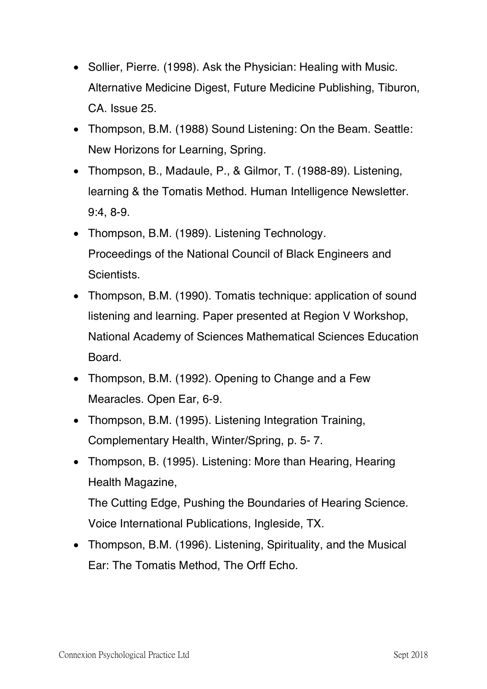- Sollier, Pierre. (1998). Ask the Physician: Healing with Music. Alternative Medicine Digest, Future Medicine Publishing, Tiburon, CA. Issue 25.
- Thompson, B.M. (1988) Sound Listening: On the Beam. Seattle: New Horizons for Learning, Spring.
- Thompson, B., Madaule, P., & Gilmor, T. (1988-89). Listening, learning & the Tomatis Method. Human Intelligence Newsletter. 9:4, 8-9.
- Thompson, B.M. (1989). Listening Technology. Proceedings of the National Council of Black Engineers and Scientists.
- Thompson, B.M. (1990). Tomatis technique: application of sound listening and learning. Paper presented at Region V Workshop, National Academy of Sciences Mathematical Sciences Education Board.
- Thompson, B.M. (1992). Opening to Change and a Few Mearacles. Open Ear, 6-9.
- Thompson, B.M. (1995). Listening Integration Training, Complementary Health, Winter/Spring, p. 5- 7.
- Thompson, B. (1995). Listening: More than Hearing, Hearing Health Magazine, The Cutting Edge, Pushing the Boundaries of Hearing Science. Voice International Publications, Ingleside, TX.
- Thompson, B.M. (1996). Listening, Spirituality, and the Musical Ear: The Tomatis Method, The Orff Echo.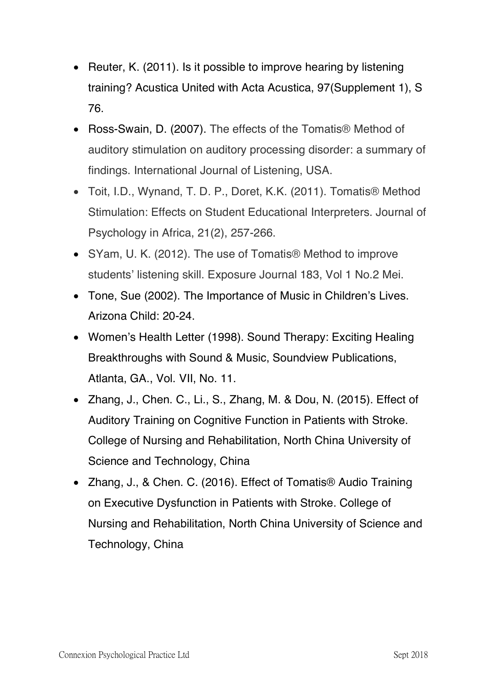- Reuter, K. (2011). Is it possible to improve hearing by listening training? Acustica United with Acta Acustica, 97(Supplement 1), S 76.
- Ross-Swain, D. (2007). The effects of the Tomatis® Method of auditory stimulation on auditory processing disorder: a summary of findings. International Journal of Listening, USA.
- Toit, I.D., Wynand, T. D. P., Doret, K.K. (2011). Tomatis® Method Stimulation: Effects on Student Educational Interpreters. Journal of Psychology in Africa, 21(2), 257-266.
- SYam, U. K. (2012). The use of Tomatis® Method to improve students' listening skill. Exposure Journal 183, Vol 1 No.2 Mei.
- Tone, Sue (2002). The Importance of Music in Children's Lives. Arizona Child: 20-24.
- Women's Health Letter (1998). Sound Therapy: Exciting Healing Breakthroughs with Sound & Music, Soundview Publications, Atlanta, GA., Vol. VII, No. 11.
- Zhang, J., Chen. C., Li., S., Zhang, M. & Dou, N. (2015). Effect of Auditory Training on Cognitive Function in Patients with Stroke. College of Nursing and Rehabilitation, North China University of Science and Technology, China
- Zhang, J., & Chen. C. (2016). Effect of Tomatis® Audio Training on Executive Dysfunction in Patients with Stroke. College of Nursing and Rehabilitation, North China University of Science and Technology, China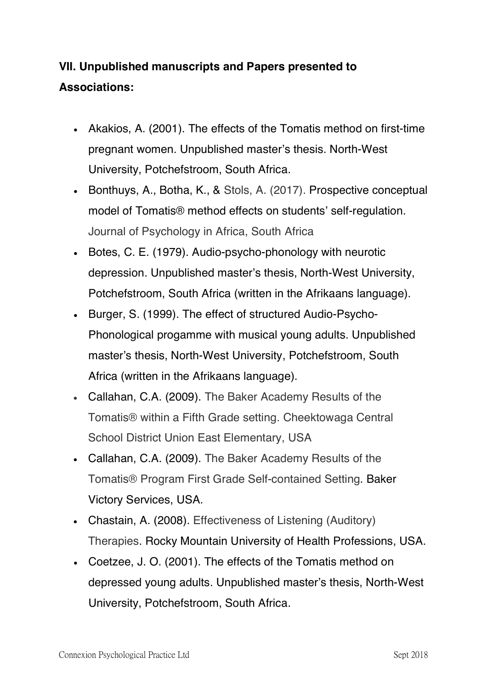# **VII. Unpublished manuscripts and Papers presented to Associations:**

- Akakios, A. (2001). The effects of the Tomatis method on first-time pregnant women. Unpublished master's thesis. North-West University, Potchefstroom, South Africa.
- Bonthuys, A., Botha, K., & Stols, A. (2017). Prospective conceptual model of Tomatis® method effects on students' self-regulation. Journal of Psychology in Africa, South Africa
- Botes, C. E. (1979). Audio-psycho-phonology with neurotic depression. Unpublished master's thesis, North-West University, Potchefstroom, South Africa (written in the Afrikaans language).
- Burger, S. (1999). The effect of structured Audio-Psycho-Phonological progamme with musical young adults. Unpublished master's thesis, North-West University, Potchefstroom, South Africa (written in the Afrikaans language).
- Callahan, C.A. (2009). The Baker Academy Results of the Tomatis® within a Fifth Grade setting. Cheektowaga Central School District Union East Elementary, USA
- Callahan, C.A. (2009). The Baker Academy Results of the Tomatis® Program First Grade Self-contained Setting. Baker Victory Services, USA.
- Chastain, A. (2008). Effectiveness of Listening (Auditory) Therapies. Rocky Mountain University of Health Professions, USA.
- Coetzee, J. O. (2001). The effects of the Tomatis method on depressed young adults. Unpublished master's thesis, North-West University, Potchefstroom, South Africa.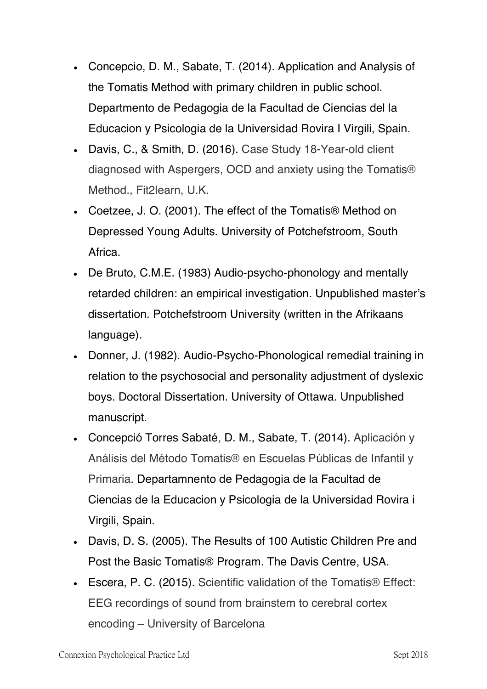- Concepcio, D. M., Sabate, T. (2014). Application and Analysis of the Tomatis Method with primary children in public school. Departmento de Pedagogia de la Facultad de Ciencias del la Educacion y Psicologia de la Universidad Rovira I Virgili, Spain.
- Davis, C., & Smith, D. (2016). Case Study 18-Year-old client diagnosed with Aspergers, OCD and anxiety using the Tomatis® Method., Fit2learn, U.K.
- Coetzee, J. O. (2001). The effect of the Tomatis® Method on Depressed Young Adults. University of Potchefstroom, South Africa.
- De Bruto, C.M.E. (1983) Audio-psycho-phonology and mentally retarded children: an empirical investigation. Unpublished master's dissertation. Potchefstroom University (written in the Afrikaans language).
- Donner, J. (1982). Audio-Psycho-Phonological remedial training in relation to the psychosocial and personality adjustment of dyslexic boys. Doctoral Dissertation. University of Ottawa. Unpublished manuscript.
- Concepció Torres Sabaté, D. M., Sabate, T. (2014). Aplicación y Análisis del Método Tomatis® en Escuelas Públicas de Infantil y Primaria. Departamnento de Pedagogia de la Facultad de Ciencias de la Educacion y Psicologia de la Universidad Rovira i Virgili, Spain.
- Davis, D. S. (2005). The Results of 100 Autistic Children Pre and Post the Basic Tomatis® Program. The Davis Centre, USA.
- Escera, P. C. (2015). Scientific validation of the Tomatis® Effect: EEG recordings of sound from brainstem to cerebral cortex encoding – University of Barcelona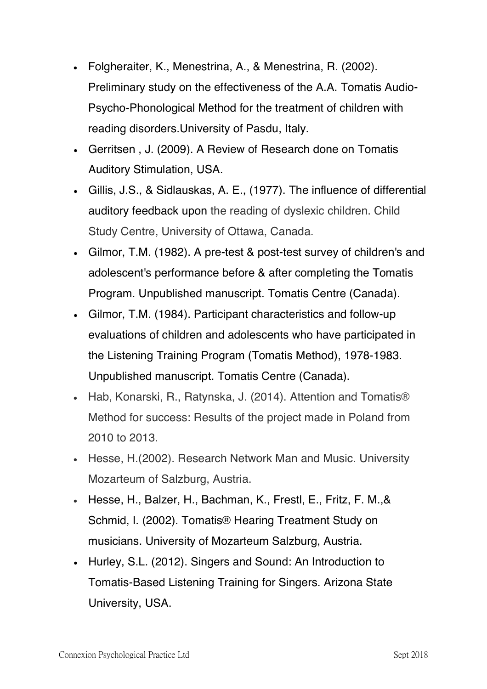- Folgheraiter, K., Menestrina, A., & Menestrina, R. (2002). Preliminary study on the effectiveness of the A.A. Tomatis Audio-Psycho-Phonological Method for the treatment of children with reading disorders.University of Pasdu, Italy.
- Gerritsen , J. (2009). A Review of Research done on Tomatis Auditory Stimulation, USA.
- Gillis, J.S., & Sidlauskas, A. E., (1977). The influence of differential auditory feedback upon the reading of dyslexic children. Child Study Centre, University of Ottawa, Canada.
- Gilmor, T.M. (1982). A pre-test & post-test survey of children's and adolescent's performance before & after completing the Tomatis Program. Unpublished manuscript. Tomatis Centre (Canada).
- Gilmor, T.M. (1984). Participant characteristics and follow-up evaluations of children and adolescents who have participated in the Listening Training Program (Tomatis Method), 1978-1983. Unpublished manuscript. Tomatis Centre (Canada).
- Hab, Konarski, R., Ratynska, J. (2014). Attention and Tomatis® Method for success: Results of the project made in Poland from 2010 to 2013.
- Hesse, H.(2002). Research Network Man and Music. University Mozarteum of Salzburg, Austria.
- Hesse, H., Balzer, H., Bachman, K., Frestl, E., Fritz, F. M.,& Schmid, I. (2002). Tomatis® Hearing Treatment Study on musicians. University of Mozarteum Salzburg, Austria.
- Hurley, S.L. (2012). Singers and Sound: An Introduction to Tomatis-Based Listening Training for Singers. Arizona State University, USA.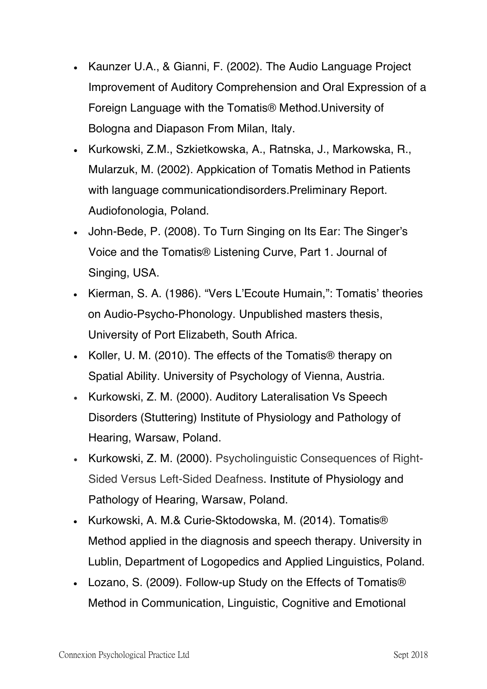- Kaunzer U.A., & Gianni, F. (2002). The Audio Language Project Improvement of Auditory Comprehension and Oral Expression of a Foreign Language with the Tomatis® Method.University of Bologna and Diapason From Milan, Italy.
- Kurkowski, Z.M., Szkietkowska, A., Ratnska, J., Markowska, R., Mularzuk, M. (2002). Appkication of Tomatis Method in Patients with language communicationdisorders.Preliminary Report. Audiofonologia, Poland.
- John-Bede, P. (2008). To Turn Singing on Its Ear: The Singer's Voice and the Tomatis® Listening Curve, Part 1. Journal of Singing, USA.
- Kierman, S. A. (1986). "Vers L'Ecoute Humain,": Tomatis' theories on Audio-Psycho-Phonology. Unpublished masters thesis, University of Port Elizabeth, South Africa.
- Koller, U. M. (2010). The effects of the Tomatis® therapy on Spatial Ability. University of Psychology of Vienna, Austria.
- Kurkowski, Z. M. (2000). Auditory Lateralisation Vs Speech Disorders (Stuttering) Institute of Physiology and Pathology of Hearing, Warsaw, Poland.
- Kurkowski, Z. M. (2000). Psycholinguistic Consequences of Right-Sided Versus Left-Sided Deafness. Institute of Physiology and Pathology of Hearing, Warsaw, Poland.
- Kurkowski, A. M.& Curie-Sktodowska, M. (2014). Tomatis® Method applied in the diagnosis and speech therapy. University in Lublin, Department of Logopedics and Applied Linguistics, Poland.
- Lozano, S. (2009). Follow-up Study on the Effects of Tomatis® Method in Communication, Linguistic, Cognitive and Emotional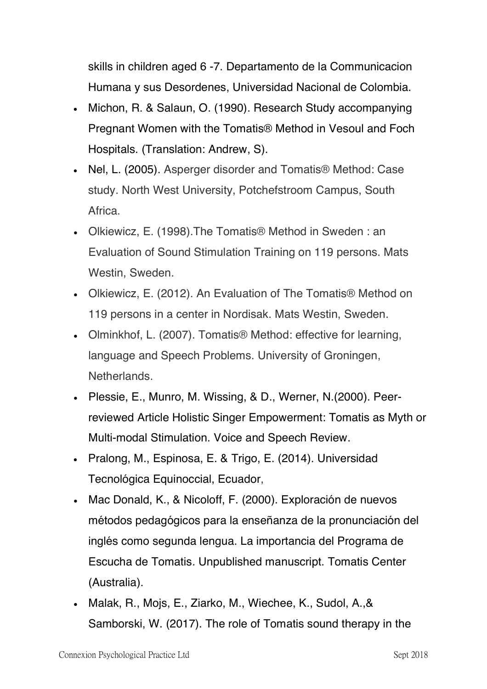skills in children aged 6 -7. Departamento de la Communicacion Humana y sus Desordenes, Universidad Nacional de Colombia.

- Michon, R. & Salaun, O. (1990). Research Study accompanying Pregnant Women with the Tomatis® Method in Vesoul and Foch Hospitals. (Translation: Andrew, S).
- Nel, L. (2005). Asperger disorder and Tomatis® Method: Case study. North West University, Potchefstroom Campus, South Africa.
- Olkiewicz, E. (1998).The Tomatis® Method in Sweden : an Evaluation of Sound Stimulation Training on 119 persons. Mats Westin, Sweden.
- Olkiewicz, E. (2012). An Evaluation of The Tomatis® Method on 119 persons in a center in Nordisak. Mats Westin, Sweden.
- Olminkhof, L. (2007). Tomatis® Method: effective for learning, language and Speech Problems. University of Groningen, Netherlands.
- Plessie, E., Munro, M. Wissing, & D., Werner, N.(2000). Peerreviewed Article Holistic Singer Empowerment: Tomatis as Myth or Multi-modal Stimulation. Voice and Speech Review.
- Pralong, M., Espinosa, E. & Trigo, E. (2014). Universidad Tecnológica Equinoccial, Ecuador,
- Mac Donald, K., & Nicoloff, F. (2000). Exploración de nuevos métodos pedagógicos para la enseñanza de la pronunciación del inglés como segunda lengua. La importancia del Programa de Escucha de Tomatis*.* Unpublished manuscript. Tomatis Center (Australia).
- Malak, R., Mojs, E., Ziarko, M., Wiechee, K., Sudol, A.,& Samborski, W. (2017). The role of Tomatis sound therapy in the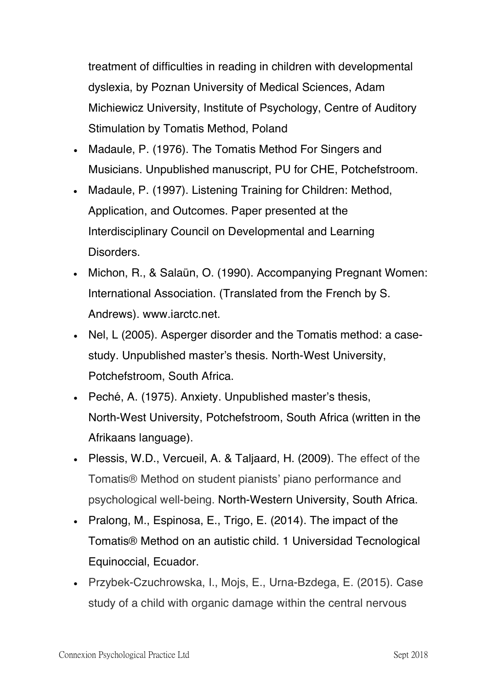treatment of difficulties in reading in children with developmental dyslexia, by Poznan University of Medical Sciences, Adam Michiewicz University, Institute of Psychology, Centre of Auditory Stimulation by Tomatis Method, Poland

- Madaule, P. (1976). The Tomatis Method For Singers and Musicians. Unpublished manuscript, PU for CHE, Potchefstroom.
- Madaule, P. (1997). Listening Training for Children: Method, Application, and Outcomes. Paper presented at the Interdisciplinary Council on Developmental and Learning Disorders.
- Michon, R., & Salaün, O. (1990). Accompanying Pregnant Women: International Association. (Translated from the French by S. Andrews). www.iarctc.net.
- Nel, L (2005). Asperger disorder and the Tomatis method: a casestudy. Unpublished master's thesis. North-West University, Potchefstroom, South Africa.
- Peché, A. (1975). Anxiety. Unpublished master's thesis, North-West University, Potchefstroom, South Africa (written in the Afrikaans language).
- Plessis, W.D., Vercueil, A. & Taljaard, H. (2009). The effect of the Tomatis® Method on student pianists' piano performance and psychological well-being. North-Western University, South Africa.
- Pralong, M., Espinosa, E., Trigo, E. (2014). The impact of the Tomatis® Method on an autistic child. 1 Universidad Tecnological Equinoccial, Ecuador.
- Przybek-Czuchrowska, I., Mojs, E., Urna-Bzdega, E. (2015). Case study of a child with organic damage within the central nervous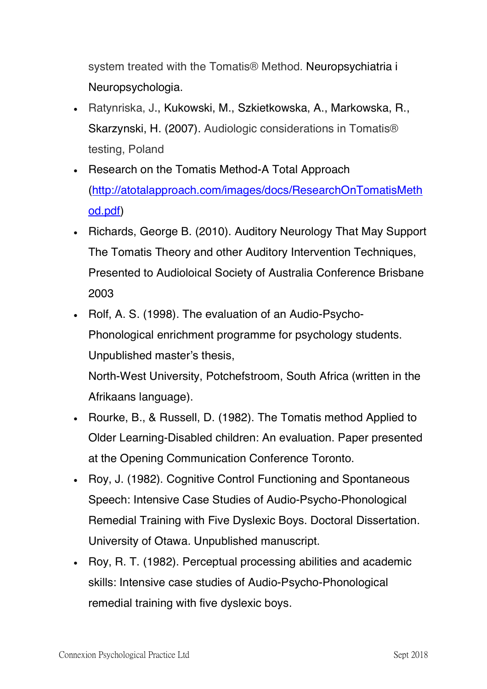system treated with the Tomatis® Method. Neuropsychiatria i Neuropsychologia.

- Ratynriska, J., Kukowski, M., Szkietkowska, A., Markowska, R., Skarzynski, H. (2007). Audiologic considerations in Tomatis® testing, Poland
- Research on the Tomatis Method-A Total Approach (http://atotalapproach.com/images/docs/ResearchOnTomatisMeth od.pdf)
- Richards, George B. (2010). Auditory Neurology That May Support The Tomatis Theory and other Auditory Intervention Techniques, Presented to Audioloical Society of Australia Conference Brisbane 2003
- Rolf, A. S. (1998). The evaluation of an Audio-Psycho-Phonological enrichment programme for psychology students. Unpublished master's thesis,

North-West University, Potchefstroom, South Africa (written in the Afrikaans language).

- Rourke, B., & Russell, D. (1982). The Tomatis method Applied to Older Learning-Disabled children: An evaluation. Paper presented at the Opening Communication Conference Toronto.
- Roy, J. (1982). Cognitive Control Functioning and Spontaneous Speech: Intensive Case Studies of Audio-Psycho-Phonological Remedial Training with Five Dyslexic Boys. Doctoral Dissertation. University of Otawa*.* Unpublished manuscript.
- Roy, R. T. (1982). Perceptual processing abilities and academic skills: Intensive case studies of Audio-Psycho-Phonological remedial training with five dyslexic boys.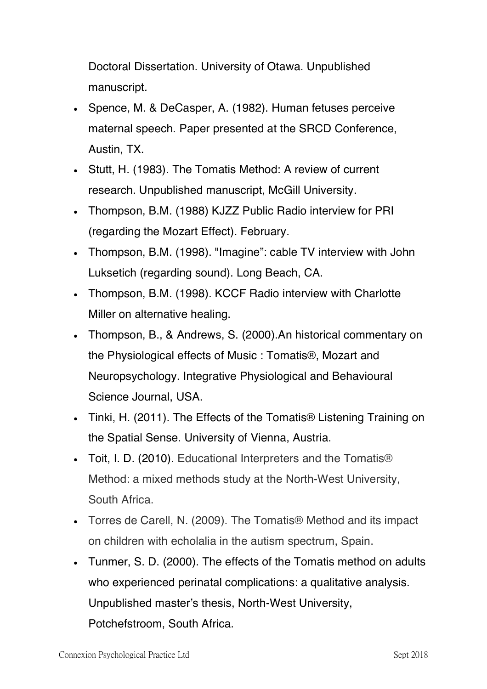Doctoral Dissertation. University of Otawa. Unpublished manuscript*.* 

- Spence, M. & DeCasper, A. (1982). Human fetuses perceive maternal speech. Paper presented at the SRCD Conference, Austin, TX.
- Stutt, H. (1983). The Tomatis Method: A review of current research. Unpublished manuscript, McGill University.
- Thompson, B.M. (1988) KJZZ Public Radio interview for PRI (regarding the Mozart Effect). February.
- Thompson, B.M. (1998). "Imagine": cable TV interview with John Luksetich (regarding sound). Long Beach, CA.
- Thompson, B.M. (1998). KCCF Radio interview with Charlotte Miller on alternative healing.
- Thompson, B., & Andrews, S. (2000).An historical commentary on the Physiological effects of Music : Tomatis®, Mozart and Neuropsychology. Integrative Physiological and Behavioural Science Journal, USA.
- Tinki, H. (2011). The Effects of the Tomatis<sup>®</sup> Listening Training on the Spatial Sense. University of Vienna, Austria.
- Toit, I. D. (2010). Educational Interpreters and the Tomatis<sup>®</sup> Method: a mixed methods study at the North-West University, South Africa.
- Torres de Carell, N. (2009). The Tomatis® Method and its impact on children with echolalia in the autism spectrum, Spain.
- Tunmer, S. D. (2000). The effects of the Tomatis method on adults who experienced perinatal complications: a qualitative analysis. Unpublished master's thesis, North-West University, Potchefstroom, South Africa.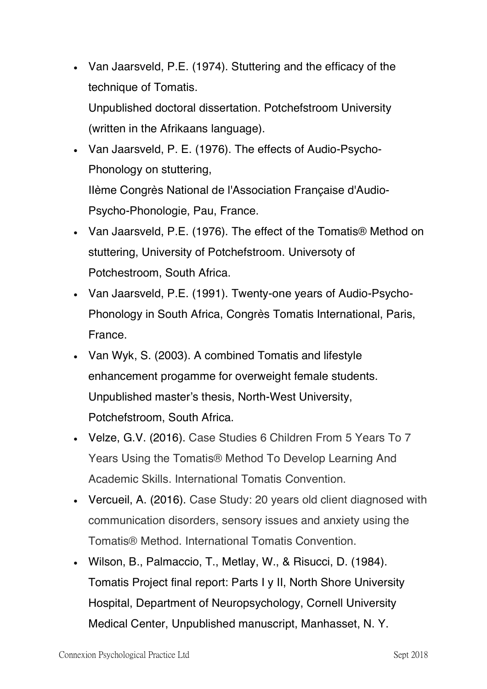- Van Jaarsveld, P.E. (1974). Stuttering and the efficacy of the technique of Tomatis. Unpublished doctoral dissertation. Potchefstroom University (written in the Afrikaans language).
- Van Jaarsveld, P. E. (1976). The effects of Audio-Psycho-Phonology on stuttering, Ilème Congrès National de l'Association Française d'Audio-Psycho-Phonologie, Pau, France.
- Van Jaarsveld, P.E. (1976). The effect of the Tomatis® Method on stuttering, University of Potchefstroom. Universoty of Potchestroom, South Africa.
- Van Jaarsveld, P.E. (1991). Twenty-one years of Audio-Psycho-Phonology in South Africa, Congrès Tomatis International, Paris, France.
- Van Wyk, S. (2003). A combined Tomatis and lifestyle enhancement progamme for overweight female students. Unpublished master's thesis, North-West University, Potchefstroom, South Africa.
- Velze, G.V. (2016). Case Studies 6 Children From 5 Years To 7 Years Using the Tomatis® Method To Develop Learning And Academic Skills. International Tomatis Convention.
- Vercueil, A. (2016). Case Study: 20 years old client diagnosed with communication disorders, sensory issues and anxiety using the Tomatis® Method. International Tomatis Convention.
- Wilson, B., Palmaccio, T., Metlay, W., & Risucci, D. (1984). Tomatis Project final report: Parts I y II, North Shore University Hospital, Department of Neuropsychology, Cornell University Medical Center, Unpublished manuscript, Manhasset, N. Y.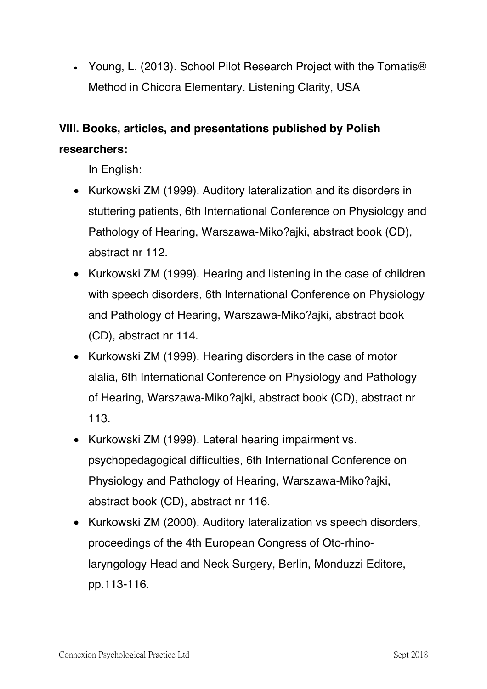• Young, L. (2013). School Pilot Research Project with the Tomatis® Method in Chicora Elementary. Listening Clarity, USA

# **VIII. Books, articles, and presentations published by Polish researchers:**

In English:

- Kurkowski ZM (1999). Auditory lateralization and its disorders in stuttering patients, 6th International Conference on Physiology and Pathology of Hearing, Warszawa-Miko?ajki, abstract book (CD), abstract nr 112.
- Kurkowski ZM (1999). Hearing and listening in the case of children with speech disorders, 6th International Conference on Physiology and Pathology of Hearing, Warszawa-Miko?ajki, abstract book (CD), abstract nr 114.
- Kurkowski ZM (1999). Hearing disorders in the case of motor alalia, 6th International Conference on Physiology and Pathology of Hearing, Warszawa-Miko?ajki, abstract book (CD), abstract nr 113.
- Kurkowski ZM (1999). Lateral hearing impairment vs. psychopedagogical difficulties, 6th International Conference on Physiology and Pathology of Hearing, Warszawa-Miko?ajki, abstract book (CD), abstract nr 116.
- Kurkowski ZM (2000). Auditory lateralization vs speech disorders, proceedings of the 4th European Congress of Oto-rhinolaryngology Head and Neck Surgery, Berlin, Monduzzi Editore, pp.113-116.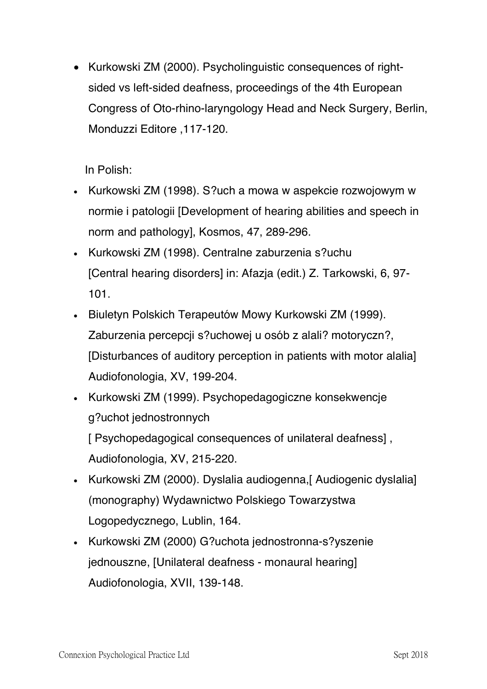• Kurkowski ZM (2000). Psycholinguistic consequences of rightsided vs left-sided deafness, proceedings of the 4th European Congress of Oto-rhino-laryngology Head and Neck Surgery, Berlin, Monduzzi Editore ,117-120.

In Polish:

- Kurkowski ZM (1998). S?uch a mowa w aspekcie rozwojowym w normie i patologii [Development of hearing abilities and speech in norm and pathology], Kosmos, 47, 289-296.
- Kurkowski ZM (1998). Centralne zaburzenia s?uchu [Central hearing disorders] in: Afazja (edit.) Z. Tarkowski, 6, 97- 101.
- Biuletyn Polskich Terapeutów Mowy Kurkowski ZM (1999). Zaburzenia percepcii s?uchowej u osób z alali? motoryczn?, [Disturbances of auditory perception in patients with motor alalia] Audiofonologia, XV, 199-204.
- Kurkowski ZM (1999). Psychopedagogiczne konsekwencje g?uchot jednostronnych [ Psychopedagogical consequences of unilateral deafness], Audiofonologia, XV, 215-220.
- Kurkowski ZM (2000). Dyslalia audiogenna, [ Audiogenic dyslalia] (monography) Wydawnictwo Polskiego Towarzystwa Logopedycznego, Lublin, 164.
- Kurkowski ZM (2000) G?uchota jednostronna-s?yszenie jednouszne, [Unilateral deafness - monaural hearing] Audiofonologia, XVII, 139-148.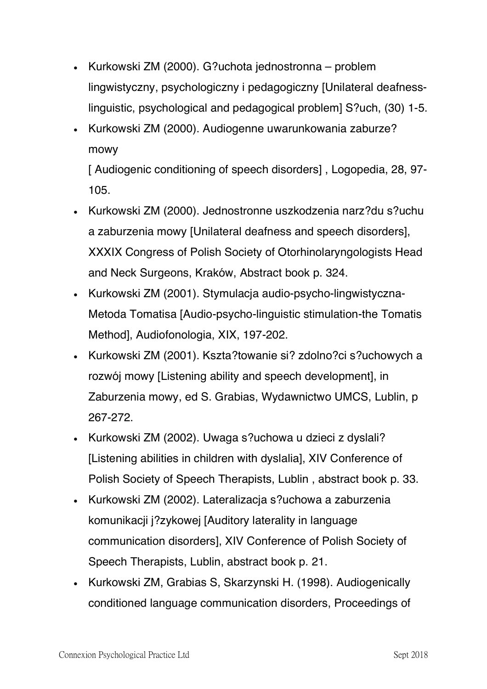- Kurkowski ZM (2000). G?uchota jednostronna problem lingwistyczny, psychologiczny i pedagogiczny [Unilateral deafnesslinguistic, psychological and pedagogical problem] S?uch, (30) 1-5.
- Kurkowski ZM (2000). Audiogenne uwarunkowania zaburze? mowy

[ Audiogenic conditioning of speech disorders], Logopedia, 28, 97-105.

- Kurkowski ZM (2000). Jednostronne uszkodzenia narz?du s?uchu a zaburzenia mowy [Unilateral deafness and speech disorders], XXXIX Congress of Polish Society of Otorhinolaryngologists Head and Neck Surgeons, Kraków, Abstract book p. 324.
- Kurkowski ZM (2001). Stymulacja audio-psycho-lingwistyczna-Metoda Tomatisa [Audio-psycho-linguistic stimulation-the Tomatis Method], Audiofonologia, XIX, 197-202.
- Kurkowski ZM (2001). Kszta?towanie si? zdolno?ci s?uchowych a rozwój mowy [Listening ability and speech development], in Zaburzenia mowy, ed S. Grabias, Wydawnictwo UMCS, Lublin, p 267-272.
- Kurkowski ZM (2002). Uwaga s?uchowa u dzieci z dyslali? [Listening abilities in children with dyslalia], XIV Conference of Polish Society of Speech Therapists, Lublin , abstract book p. 33.
- Kurkowski ZM (2002). Lateralizacja s?uchowa a zaburzenia komunikacji j?zykowej [Auditory laterality in language communication disorders], XIV Conference of Polish Society of Speech Therapists, Lublin, abstract book p. 21.
- Kurkowski ZM, Grabias S, Skarzynski H. (1998). Audiogenically conditioned language communication disorders, Proceedings of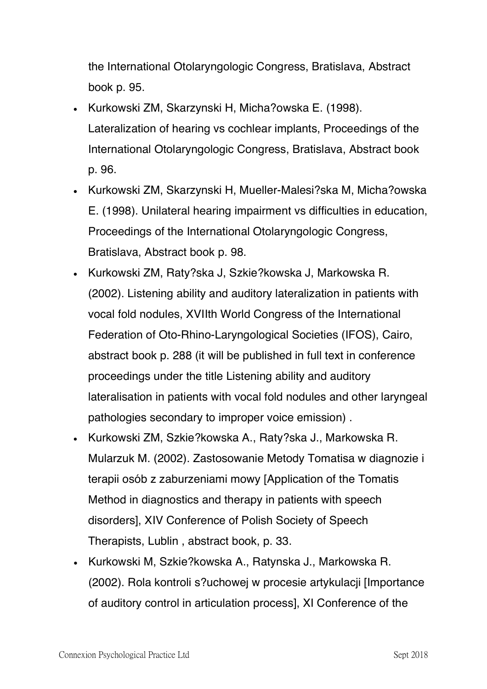the International Otolaryngologic Congress, Bratislava, Abstract book p. 95.

- Kurkowski ZM, Skarzynski H, Micha?owska E. (1998). Lateralization of hearing vs cochlear implants, Proceedings of the International Otolaryngologic Congress, Bratislava, Abstract book p. 96.
- Kurkowski ZM, Skarzynski H, Mueller-Malesi?ska M, Micha?owska E. (1998). Unilateral hearing impairment vs difficulties in education, Proceedings of the International Otolaryngologic Congress, Bratislava, Abstract book p. 98.
- Kurkowski ZM, Raty?ska J, Szkie?kowska J, Markowska R. (2002). Listening ability and auditory lateralization in patients with vocal fold nodules, XVIIth World Congress of the International Federation of Oto-Rhino-Laryngological Societies (IFOS), Cairo, abstract book p. 288 (it will be published in full text in conference proceedings under the title Listening ability and auditory lateralisation in patients with vocal fold nodules and other laryngeal pathologies secondary to improper voice emission) .
- Kurkowski ZM, Szkie?kowska A., Raty?ska J., Markowska R. Mularzuk M. (2002). Zastosowanie Metody Tomatisa w diagnozie i terapii osób z zaburzeniami mowy [Application of the Tomatis Method in diagnostics and therapy in patients with speech disorders], XIV Conference of Polish Society of Speech Therapists, Lublin , abstract book, p. 33.
- Kurkowski M, Szkie?kowska A., Ratynska J., Markowska R. (2002). Rola kontroli s?uchowej w procesie artykulacji [Importance of auditory control in articulation process], XI Conference of the